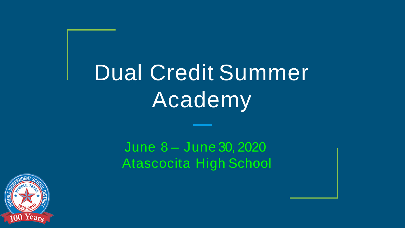# Dual Credit Summer **Academy**

June 8 – June 30, 2020 Atascocita High School

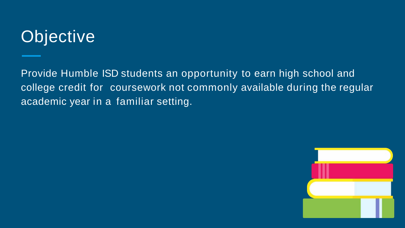### **Objective**

Provide Humble ISD students an opportunity to earn high school and college credit for coursework not commonly available during the regular academic year in a familiar setting.

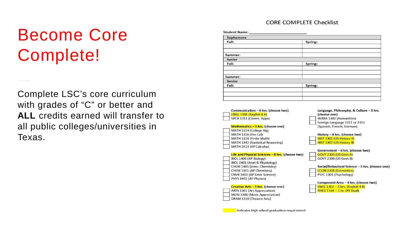### Become Core Complete!

Complete LSC's core curriculum with grades of "C" or better and **ALL** credits earned will transfer to all public colleges/universities in Texas.

#### **CORE COMPLETE Checklist**

**Student Name:** 

| Sophomore |         |  |
|-----------|---------|--|
| Fall:     | Spring: |  |
|           |         |  |
| Summer:   |         |  |
| Junior    |         |  |
| Fall:     | Spring: |  |
|           |         |  |
|           |         |  |
| Summer:   |         |  |
| Senior    |         |  |
| Fall:     | Spring: |  |
|           |         |  |
|           |         |  |
|           |         |  |

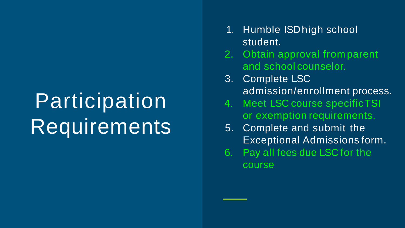## Participation Requirements

- 1. Humble ISDhigh school student.
- 2. Obtain approval from parent and school counselor.
- 3. Complete LSC admission/enrollment process.
- 4. Meet LSC course specificTSI or exemption requirements.
- 5. Complete and submit the Exceptional Admissions form.
- 6. Pay all fees due LSC for the course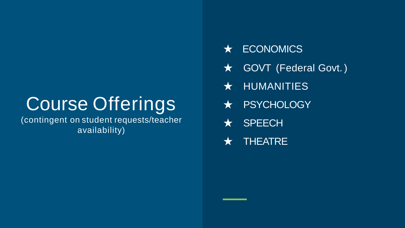### Course Offerings

(contingent on student requests/teacher availability)

- ★ ECONOMICS
- **★ GOVT (Federal Govt.)**
- ★ HUMANITIES
- ★ PSYCHOLOGY
- ★ SPEECH
- ★ THEATRE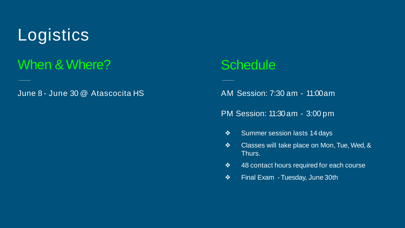### **Logistics**

#### When & Where?

June 8 - June 30 @ Atascocita HS

#### **Schedule**

AM Session: 7:30 am - 11:00am

PM Session: 11:30 am - 3:00 pm

- ❖ Summer session lasts 14 days
- ❖ Classes will take place on Mon, Tue, Wed, & Thurs.
- ❖ 48 contact hours required for each course
- ❖ Final Exam -Tuesday, June 30th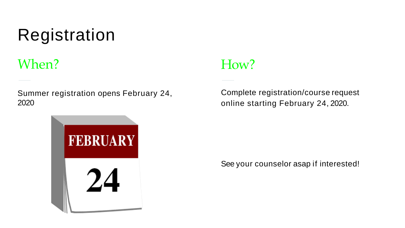### Registration

#### When?

Summer registration opens February 24, 2020



#### How?

Complete registration/course request online starting February 24, 2020.

See your counselor asap if interested!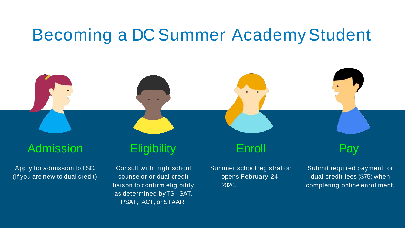### Becoming a DC Summer AcademyStudent



Apply for admission to LSC. (If you are new to dual credit)

Consult with high school counselor or dual credit liaison to confirm eligibility as determined byTSI, SAT, PSAT, ACT, or STAAR.

Summer school registration opens February 24, 2020.

Submit required payment for dual credit fees (\$75) when completing online enrollment.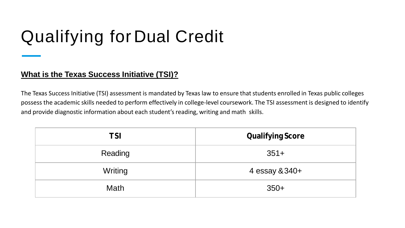### Qualifying for Dual Credit

#### **What is the Texas Success Initiative (TSI)?**

The Texas Success Initiative (TSI) assessment is mandated by Texas law to ensure that students enrolled in Texas public colleges possess the academic skills needed to perform effectively in college-level coursework. The TSI assessment is designed to identify and provide diagnostic information about each student's reading, writing and math skills.

| TSI     | <b>Qualifying Score</b> |
|---------|-------------------------|
| Reading | $351+$                  |
| Writing | 4 essay & 340+          |
| Math    | $350+$                  |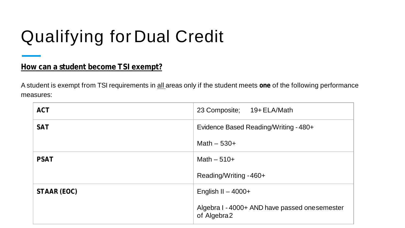### Qualifying for Dual Credit

#### **How can a student become TSI exempt?**

A student is exempt from TSI requirements in all areas only if the student meets **one** of the following performance measures:

| <b>ACT</b>  | 23 Composite; 19+ ELA/Math                                    |
|-------------|---------------------------------------------------------------|
| <b>SAT</b>  | Evidence Based Reading/Writing - 480+                         |
|             | Math $-530+$                                                  |
| <b>PSAT</b> | Math $-510+$                                                  |
|             | Reading/Writing - 460+                                        |
| STAAR (EOC) | English II $-$ 4000+                                          |
|             | Algebra I - 4000+ AND have passed one semester<br>of Algebra2 |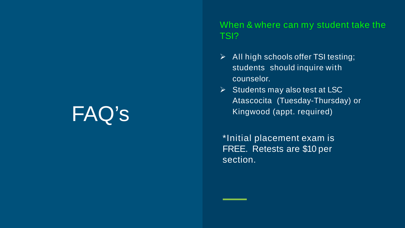When & where can my student take the TSI?

- $\triangleright$  All high schools offer TSI testing; students should inquire with counselor.
- $\triangleright$  Students may also test at LSC Atascocita (Tuesday-Thursday) or Kingwood (appt. required)

\*Initial placement exam is FREE. Retests are \$10 per section.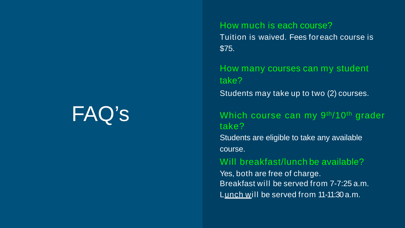#### How much is each course?

Tuition is waived. Fees foreach course is \$75.

How many courses can my student take?

Students may take up to two (2) courses.

#### Which course can my 9<sup>th</sup>/10<sup>th</sup> grader take?

Students are eligible to take any available course.

#### Will breakfast/lunch be available?

Yes, both are free of charge. Breakfast will be served from 7-7:25 a.m. Lunch will be served from 11-11:30 a.m.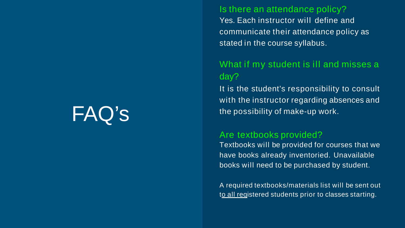#### Is there an attendance policy?

Yes. Each instructor will define and communicate their attendance policy as stated in the course syllabus.

#### What if my student is ill and misses a day?

It is the student's responsibility to consult with the instructor regarding absences and the possibility of make-up work.

#### Are textbooks provided?

Textbooks will be provided for courses that we have books already inventoried. Unavailable books will need to be purchased by student.

A required textbooks/materials list will be sent out to all registered students prior to classes starting.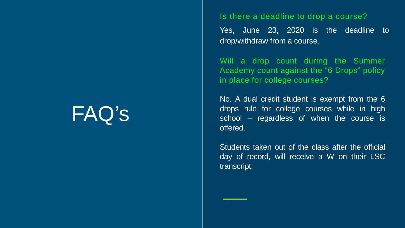#### Is there a deadline to drop a course?

Yes, June 23, 2020 is the deadline to drop/withdraw from a course.

Will a drop count during the Summer Academy count against the "6 Drops" policy in place for college courses?

No. A dual credit student is exempt from the 6 drops rule for college courses while in high school – regardless of when the course is offered.

Students taken out of the class after the official day of record, will receive a W on their LSC transcript.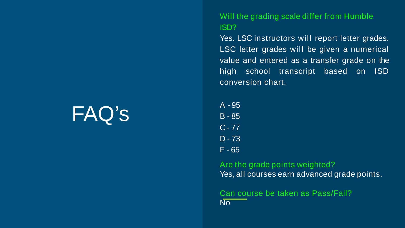Will the grading scale differ from Humble ISD?

Yes. LSC instructors will report letter grades. LSC letter grades will be given a numerical value and entered as a transfer grade on the high school transcript based on ISD conversion chart.

A -95 B - 85 C- 77 D - 73 F - 65

Are the grade points weighted? Yes, all courses earn advanced grade points.

Can course be taken as Pass/Fail? No<sup>1</sup>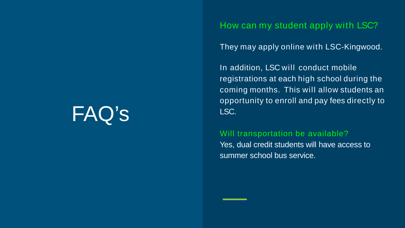How can my student apply with LSC?

They may apply online with LSC-Kingwood.

In addition, LSC will conduct mobile registrations at each high school during the coming months. This will allow students an opportunity to enroll and pay fees directly to LSC.

#### Will transportation be available?

Yes, dual credit students will have access to summer school bus service.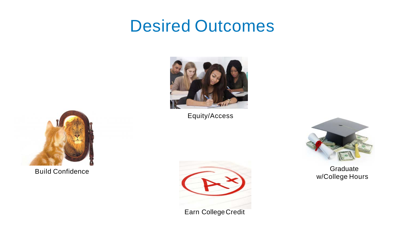#### Desired Outcomes



Equity/Access



**Graduate** w/College Hours



Build Confidence



Earn CollegeCredit